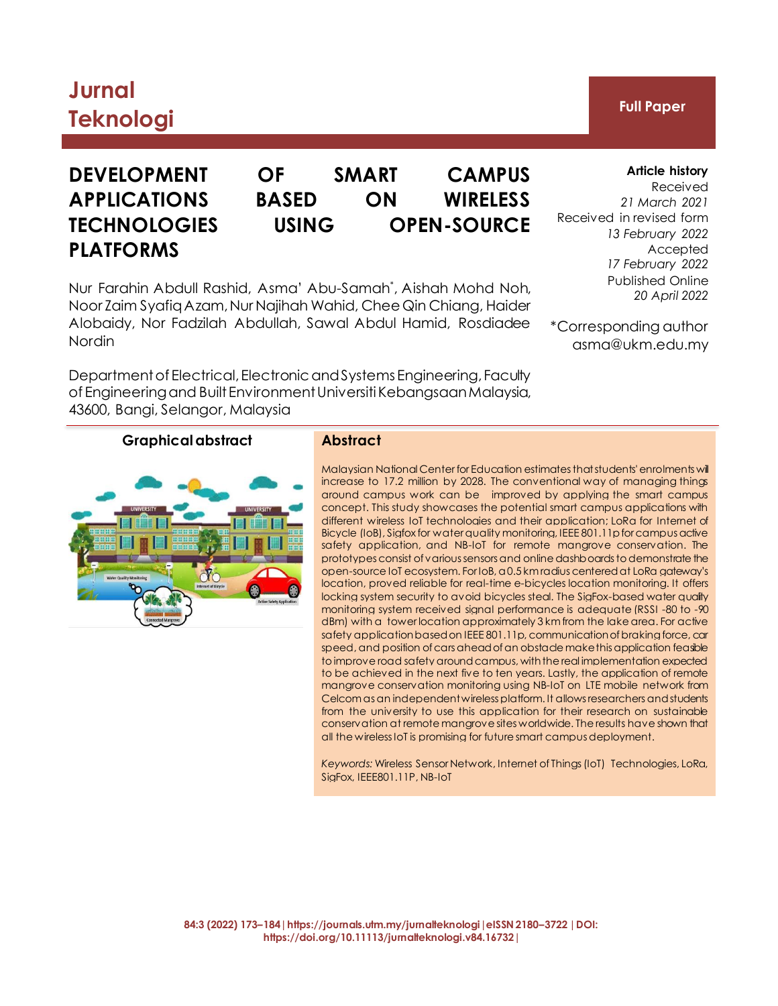# **Jurnal Teknologi Full Paper**

# **PLATFORMS**

## **DEVELOPMENT OF SMART CAMPUS APPLICATIONS BASED ON WIRELESS TECHNOLOGIES USING OPEN-SOURCE**

Nur Farahin Abdull Rashid, Asma' Abu-Samah\* , Aishah Mohd Noh, Noor Zaim SyafiqAzam, Nur Najihah Wahid, Chee Qin Chiang, Haider Alobaidy, Nor Fadzilah Abdullah, Sawal Abdul Hamid, Rosdiadee Nordin

Department of Electrical, Electronic and Systems Engineering, Faculty of Engineering and Built Environment Universiti Kebangsaan Malaysia, 43600, Bangi, Selangor, Malaysia

**Article history**

Received *21 March 2021* Received in revised form *13 February 2022* Accepted *17 February 2022* Published Online *20 April 2022*

\*Corresponding author [asma@ukm.edu.my](mailto:P109859@siswa.ukm.edu.my)

## **Graphical abstract Abstract**

Malaysian National Center for Education estimates that students' enrolments will increase to 17.2 million by 2028. The conventional way of managing things around campus work can be improved by applying the smart campus concept. This study showcases the potential smart campus applications with different wireless IoT technologies and their application; LoRa for Internet of Bicycle (IoB), Sigfox for water quality monitoring, IEEE 801.11p for campus active safety application, and NB-IoT for remote mangrove conservation. The prototypes consist of various sensors and online dashboards to demonstrate the open-source IoT ecosystem. For IoB, a 0.5 km radius centered at LoRa gateway's location, proved reliable for real-time e-bicycles location monitoring. It offers locking system security to avoid bicycles steal. The SigFox-based water quality monitoring system received signal performance is adequate (RSSI -80 to -90 dBm) with a tower location approximately 3 km from the lake area. For active safety application based on IEEE 801.11p, communication of braking force, car speed, and position of cars ahead of an obstade make this application feasible to improve road safety around campus, with the real implementation expected to be achieved in the next five to ten years. Lastly, the application of remote mangrove conservation monitoring using NB-IoT on LTE mobile network from Celcom as an independent wireless platform. It allows researchers and students from the university to use this application for their research on sustainable conservation at remote mangrove sites worldwide. The results have shown that all the wireless IoT is promising for future smart campus deployment.

*Keywords:* Wireless Sensor Network, Internet of Things (IoT) Technologies, LoRa, SigFox, IEEE801.11P, NB-IoT

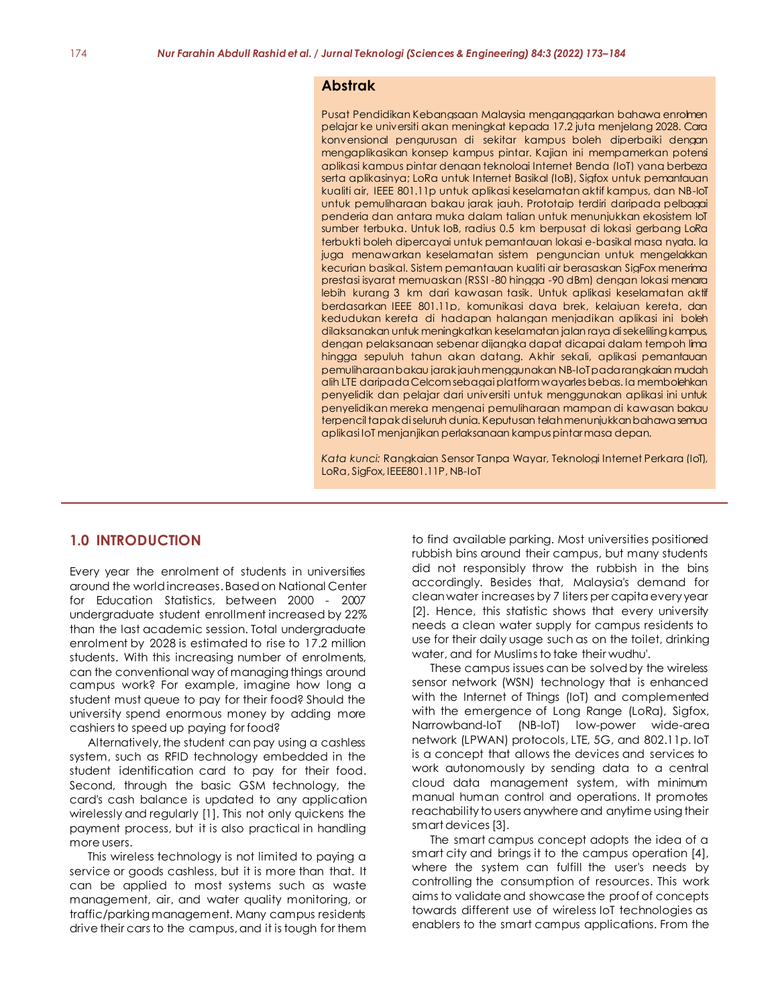#### **Abstrak**

Pusat Pendidikan Kebangsaan Malaysia menganggarkan bahawa enrolmen pelajar ke universiti akan meningkat kepada 17.2 juta menjelang 2028. Cara konvensional pengurusan di sekitar kampus boleh diperbaiki dengan mengaplikasikan konsep kampus pintar. Kajian ini mempamerkan potensi aplikasi kampus pintar dengan teknologi Internet Benda (IoT) yang berbeza serta aplikasinya; LoRa untuk Internet Basikal (IoB), Sigfox untuk pemantauan kualiti air, IEEE 801.11p untuk aplikasi keselamatan aktif kampus, dan NB-IoT untuk pemuliharaan bakau jarak jauh. Prototaip terdiri daripada pelbagai penderia dan antara muka dalam talian untuk menunjukkan ekosistem IoT sumber terbuka. Untuk IoB, radius 0.5 km berpusat di lokasi gerbang LoRa terbukti boleh dipercayai untuk pemantauan lokasi e-basikal masa nyata. Ia juga menawarkan keselamatan sistem penguncian untuk mengelakkan kecurian basikal. Sistem pemantauan kualiti air berasaskan SigFox menerima prestasi isyarat memuaskan (RSSI -80 hingga -90 dBm) dengan lokasi menara lebih kurang 3 km dari kawasan tasik. Untuk aplikasi keselamatan aktif berdasarkan IEEE 801.11p, komunikasi daya brek, kelajuan kereta, dan kedudukan kereta di hadapan halangan menjadikan aplikasi ini boleh dilaksanakan untuk meningkatkan keselamatan jalan raya di sekeliling kampus, dengan pelaksanaan sebenar dijangka dapat dicapai dalam tempoh lima hingga sepuluh tahun akan datang. Akhir sekali, aplikasi pemantauan pemuliharaan bakau jarak jauh menggunakan NB-IoT pada rangkaian mudah alih LTE daripada Celcom sebagai platform wayarles bebas. Ia membolehkan penyelidik dan pelajar dari universiti untuk menggunakan aplikasi ini untuk penyelidikan mereka mengenai pemuliharaan mampan di kawasan bakau terpencil tapak di seluruh dunia. Keputusan telah menunjukkan bahawa semua aplikasi IoT menjanjikan perlaksanaan kampus pintar masa depan.

*Kata kunci:* Rangkaian Sensor Tanpa Wayar, Teknologi Internet Perkara (IoT), LoRa, SigFox, IEEE801.11P, NB-IoT

### **1.0 INTRODUCTION**

Every year the enrolment of students in universities around the world increases. Based on National Center for Education Statistics, between 2000 - 2007 undergraduate student enrollment increased by 22% than the last academic session. Total undergraduate enrolment by 2028 is estimated to rise to 17.2 million students. With this increasing number of enrolments, can the conventional way of managing things around campus work? For example, imagine how long a student must queue to pay for their food? Should the university spend enormous money by adding more cashiers to speed up paying for food?

Alternatively, the student can pay using a cashless system, such as RFID technology embedded in the student identification card to pay for their food. Second, through the basic GSM technology, the card's cash balance is updated to any application wirelessly and regularly [1]. This not only quickens the payment process, but it is also practical in handling more users.

This wireless technology is not limited to paying a service or goods cashless, but it is more than that. It can be applied to most systems such as waste management, air, and water quality monitoring, or traffic/parking management. Many campus residents drive their cars to the campus, and it is tough for them

to find available parking. Most universities positioned rubbish bins around their campus, but many students did not responsibly throw the rubbish in the bins accordingly. Besides that, Malaysia's demand for clean water increases by 7 liters per capita every year [2]. Hence, this statistic shows that every university needs a clean water supply for campus residents to use for their daily usage such as on the toilet, drinking water, and for Muslims to take their wudhu'.

These campus issues can be solved by the wireless sensor network (WSN) technology that is enhanced with the Internet of Things (IoT) and complemented with the emergence of Long Range (LoRa), Sigfox, Narrowband-IoT (NB-IoT) low-power wide-area network (LPWAN) protocols, LTE, 5G, and 802.11p. IoT is a concept that allows the devices and services to work autonomously by sending data to a central cloud data management system, with minimum manual human control and operations. It promotes reachability to users anywhere and anytime using their smart devices [3].

The smart campus concept adopts the idea of a smart city and brings it to the campus operation [4], where the system can fulfill the user's needs by controlling the consumption of resources. This work aims to validate and showcase the proof of concepts towards different use of wireless IoT technologies as enablers to the smart campus applications. From the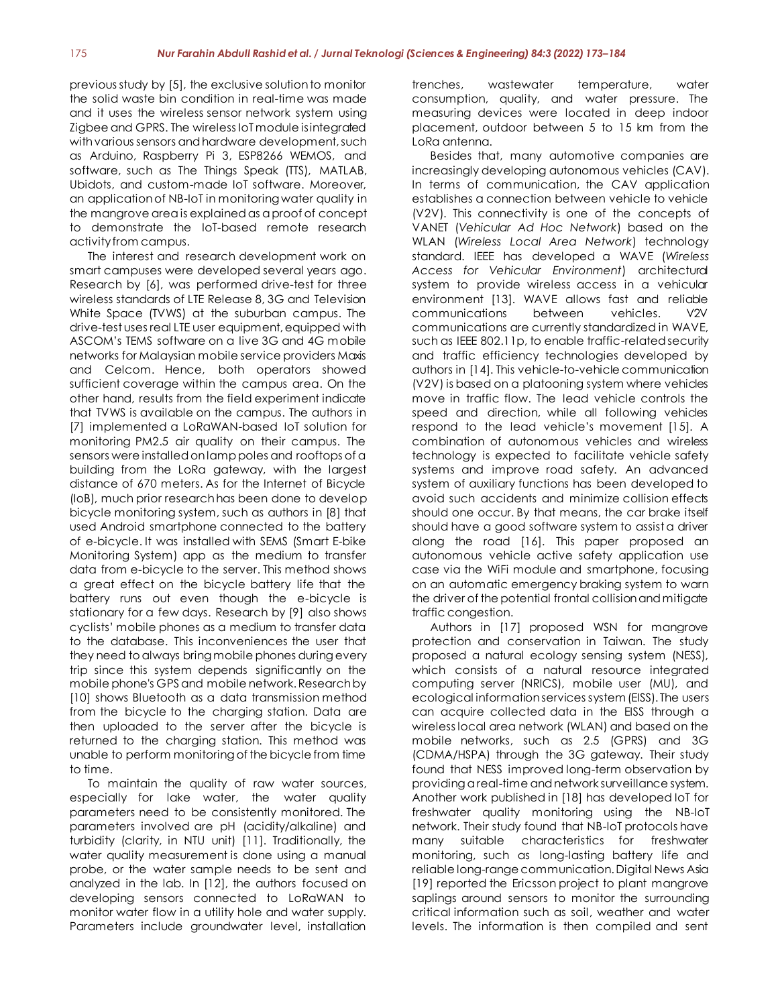previous study by [5], the exclusive solution to monitor the solid waste bin condition in real-time was made and it uses the wireless sensor network system using Zigbee and GPRS. The wireless IoT module is integrated with various sensors and hardware development, such as Arduino, Raspberry Pi 3, ESP8266 WEMOS, and software, such as The Things Speak (TTS), MATLAB, Ubidots, and custom-made IoT software. Moreover, an application of NB-IoT in monitoring water quality in the mangrove area is explainedas a proof of concept to demonstrate the IoT-based remote research activity from campus.

The interest and research development work on smart campuses were developed several years ago. Research by [6], was performed drive-test for three wireless standards of LTE Release 8, 3G and Television White Space (TVWS) at the suburban campus. The drive-test uses real LTE user equipment, equipped with ASCOM's TEMS software on a live 3G and 4G mobile networks for Malaysian mobile service providers Maxis and Celcom. Hence, both operators showed sufficient coverage within the campus area. On the other hand, results from the field experiment indicate that TVWS is available on the campus. The authors in [7] implemented a LoRaWAN-based IoT solution for monitoring PM2.5 air quality on their campus. The sensors were installed on lamp poles and rooftops of a building from the LoRa gateway, with the largest distance of 670 meters. As for the Internet of Bicycle (IoB), much prior research has been done to develop bicycle monitoring system, such as authors in [8] that used Android smartphone connected to the battery of e-bicycle. It was installed with SEMS (Smart E-bike Monitoring System) app as the medium to transfer data from e-bicycle to the server. This method shows a great effect on the bicycle battery life that the battery runs out even though the e-bicycle is stationary for a few days. Research by [9] also shows cyclists' mobile phones as a medium to transfer data to the database. This inconveniences the user that they need to always bring mobile phones during every trip since this system depends significantly on the mobile phone's GPS and mobile network. Research by [10] shows Bluetooth as a data transmission method from the bicycle to the charging station. Data are then uploaded to the server after the bicycle is returned to the charging station. This method was unable to perform monitoring of the bicycle from time to time.

To maintain the quality of raw water sources, especially for lake water, the water quality parameters need to be consistently monitored. The parameters involved are pH (acidity/alkaline) and turbidity (clarity, in NTU unit) [11]. Traditionally, the water quality measurement is done using a manual probe, or the water sample needs to be sent and analyzed in the lab. In [12], the authors focused on developing sensors connected to LoRaWAN to monitor water flow in a utility hole and water supply. Parameters include groundwater level, installation

trenches, wastewater temperature, water consumption, quality, and water pressure. The measuring devices were located in deep indoor placement, outdoor between 5 to 15 km from the LoRa antenna.

Besides that, many automotive companies are increasingly developing autonomous vehicles (CAV). In terms of communication, the CAV application establishes a connection between vehicle to vehicle (V2V). This connectivity is one of the concepts of VANET (*Vehicular Ad Hoc Network*) based on the WLAN (*Wireless Local Area Network*) technology standard. IEEE has developed a WAVE (*Wireless Access for Vehicular Environment*) architectural system to provide wireless access in a vehicular environment [13]. WAVE allows fast and reliable communications between vehicles. V2V communications are currently standardized in WAVE, such as IEEE 802.11p, to enable traffic-related security and traffic efficiency technologies developed by authors in [14]. This vehicle-to-vehicle communication (V2V) is based on a platooning system where vehicles move in traffic flow. The lead vehicle controls the speed and direction, while all following vehicles respond to the lead vehicle's movement [15]. A combination of autonomous vehicles and wireless technology is expected to facilitate vehicle safety systems and improve road safety. An advanced system of auxiliary functions has been developed to avoid such accidents and minimize collision effects should one occur. By that means, the car brake itself should have a good software system to assist a driver along the road [16]. This paper proposed an autonomous vehicle active safety application use case via the WiFi module and smartphone, focusing on an automatic emergency braking system to warn the driver of the potential frontal collision and mitigate traffic congestion.

Authors in [17] proposed WSN for mangrove protection and conservation in Taiwan. The study proposed a natural ecology sensing system (NESS), which consists of a natural resource integrated computing server (NRICS), mobile user (MU), and ecological information services system (EISS). The users can acquire collected data in the EISS through a wireless local area network (WLAN) and based on the mobile networks, such as 2.5 (GPRS) and 3G (CDMA/HSPA) through the 3G gateway. Their study found that NESS improved long-term observation by providing a real-time and network surveillance system. Another work published in [18] has developed IoT for freshwater quality monitoring using the NB-IoT network. Their study found that NB-IoT protocols have many suitable characteristics for freshwater monitoring, such as long-lasting battery life and reliable long-range communication. Digital News Asia [19] reported the Ericsson project to plant mangrove saplings around sensors to monitor the surrounding critical information such as soil, weather and water levels. The information is then compiled and sent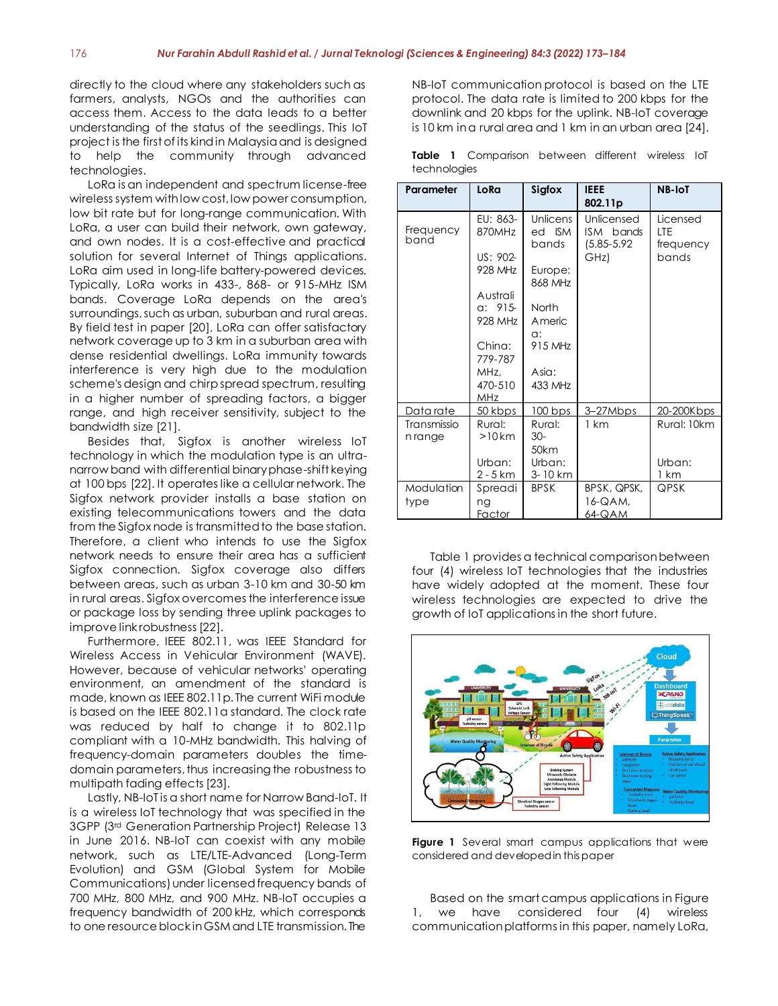directly to the cloud where any stakeholders such as farmers, analysts, NGOs and the authorities can access them. Access to the data leads to a better understanding of the status of the seedlings. This IoT project is the first of its kind in Malaysia and is designed to help the community through advanced technologies.

LoRa is an independent and spectrum license-free wireless system with low cost, low power consumption, low bit rate but for long-range communication. With LoRa, a user can build their network, own gateway, and own nodes. It is a cost-effective and practical solution for several Internet of Things applications. LoRa aim used in long-life battery-powered devices. Typically, LoRa works in 433-, 868- or 915-MHz ISM bands. Coverage LoRa depends on the area's surroundings, such as urban, suburban and rural areas. By field test in paper [20], LoRa can offer satisfactory network coverage up to 3 km in a suburban area with dense residential dwellings. LoRa immunity towards interference is very high due to the modulation scheme's design and chirp spread spectrum, resulting in a higher number of spreading factors, a bigger range, and high receiver sensitivity, subject to the bandwidth size [21].

Besides that, Sigfox is another wireless IoT technology in which the modulation type is an ultranarrow band with differential binary phase-shift keying at 100 bps [22]. It operates like a cellular network. The Sigfox network provider installs a base station on existing telecommunications towers and the data from the Sigfox node is transmitted to the base station. Therefore, a client who intends to use the Sigfox network needs to ensure their area has a sufficient Sigfox connection. Sigfox coverage also differs between areas, such as urban 3-10 km and 30-50 km in rural areas. Sigfox overcomes the interference issue or package loss by sending three uplink packages to improve link robustness [22].

Furthermore, IEEE 802.11, was IEEE Standard for Wireless Access in Vehicular Environment (WAVE). However, because of vehicular networks' operating environment, an amendment of the standard is made, known as IEEE 802.11p. The current WiFi module is based on the IEEE 802.11a standard. The clock rate was reduced by half to change it to 802.11p compliant with a 10-MHz bandwidth. This halving of frequency-domain parameters doubles the timedomain parameters, thus increasing the robustness to multipath fading effects [23].

Lastly, NB-IoT is a short name for Narrow Band-IoT. It is a wireless IoT technology that was specified in the 3GPP (3rd Generation Partnership Project) Release 13 in June 2016. NB-IoT can coexist with any mobile network, such as LTE/LTE-Advanced (Long-Term Evolution) and GSM (Global System for Mobile Communications) under licensed frequency bands of 700 MHz, 800 MHz, and 900 MHz. NB-IoT occupies a frequency bandwidth of 200 kHz, which corresponds to one resource block in GSM and LTE transmission. The

NB-IoT communication protocol is based on the LTE protocol. The data rate is limited to 200 kbps for the downlink and 20 kbps for the uplink. NB-IoT coverage is 10 km in a rural area and 1 km in an urban area [24].

**Table 1** Comparison between different wireless IoT technologies

| Parameter              | LoRa                                                                                                                         | Sigfox                                                                                                    | <b>IEEE</b><br>802.11p                             | <b>NB-IoT</b>                         |
|------------------------|------------------------------------------------------------------------------------------------------------------------------|-----------------------------------------------------------------------------------------------------------|----------------------------------------------------|---------------------------------------|
| Frequency<br>band      | EU: 863-<br>870MHz<br>$US: 902 -$<br>928 MHz<br>Australi<br>a: 915<br>928 MHz<br>China:<br>779-787<br>MHz.<br>470-510<br>MHz | Unlicens<br>ed ISM<br>bands<br>Europe:<br>868 MHz<br>North<br>Americ<br>a:<br>915 MHz<br>Asia:<br>433 MHz | Unlicensed<br>ISM bands<br>$(5.85 - 5.92)$<br>GHz) | Licensed<br>LTE<br>frequency<br>bands |
| Data rate              | 50 kbps                                                                                                                      | $100$ bps                                                                                                 | 3-27Mbps                                           | 20-200Kbps                            |
| Transmissio<br>n range | Rural:<br>$>10$ km<br>Urban:<br>$2 - 5$ km                                                                                   | Rural:<br>30-<br>50km<br>Urban:<br>3-10 km                                                                | 1 km                                               | Rural: 10km<br>Urban:<br>1 km         |
| Modulation<br>type     | Spreadi<br>ng<br>Factor                                                                                                      | <b>BPSK</b>                                                                                               | BPSK, QPSK,<br>16-QAM.<br>64-QAM                   | QPSK                                  |

Table 1 provides a technical comparison between four (4) wireless IoT technologies that the industries have widely adopted at the moment. These four wireless technologies are expected to drive the growth of IoT applications in the short future.



**Figure 1** Several smart campus applications that were considered and developed in this paper

Based on the smart campus applications in Figure 1, we have considered four (4) wireless communication platforms in this paper, namely LoRa,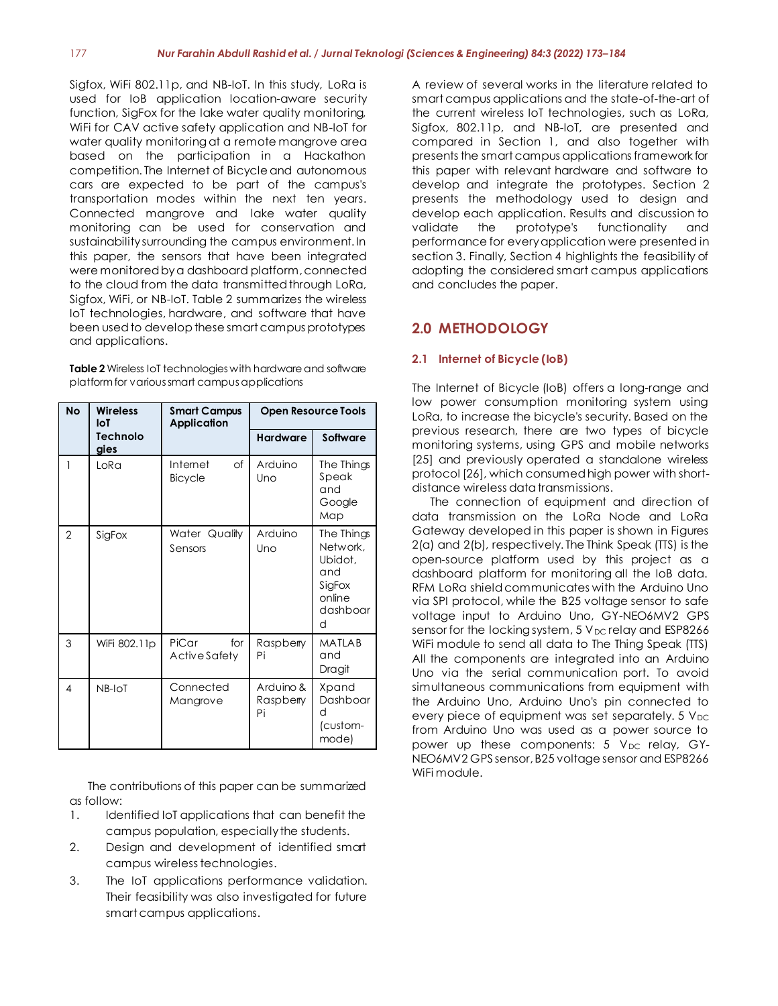Sigfox, WiFi 802.11p, and NB-IoT. In this study, LoRa is used for IoB application location-aware security function, SigFox for the lake water quality monitoring, WiFi for CAV active safety application and NB-IoT for water quality monitoring at a remote mangrove area based on the participation in a Hackathon competition. The Internet of Bicycle and autonomous cars are expected to be part of the campus's transportation modes within the next ten years. Connected mangrove and lake water quality monitoring can be used for conservation and sustainability surrounding the campus environment. In this paper, the sensors that have been integrated were monitored bya dashboard platform, connected to the cloud from the data transmitted through LoRa, Sigfox, WiFi, or NB-IoT. Table 2 summarizes the wireless IoT technologies, hardware, and software that have been used to develop these smart campus prototypes and applications.

**Table 2** Wireless IoT technologies with hardware and software platform for various smart campus applications

| <b>No</b>               | <b>Wireless</b><br>loT | <b>Smart Campus</b><br><b>Application</b> | <b>Open Resource Tools</b>   |                                                                               |
|-------------------------|------------------------|-------------------------------------------|------------------------------|-------------------------------------------------------------------------------|
| <b>Technolo</b><br>gies |                        |                                           | <b>Hardware</b>              | <b>Software</b>                                                               |
| 1                       | LoRa                   | Internet<br>$\circ$ f<br><b>Bicycle</b>   | Arduino<br>Uno               | The Things<br>Speak<br>and<br>Google<br>Map                                   |
| $\mathcal{P}$           | SigFox                 | Water Quality<br>Sensors                  | Arduino<br>Uno               | The Things<br>Network,<br>Ubidot,<br>and<br>SigFox<br>online<br>dashboar<br>d |
| 3                       | WiFi 802.11p           | PiCar<br>for<br>Active Safety             | Raspberry<br>Pi              | MATLAB<br>and<br>Dragit                                                       |
| 4                       | NB-IoT                 | Connected<br>Mangrove                     | Arduino &<br>Raspberry<br>Pi | Xpand<br>Dashboar<br>d<br>(custom-<br>mode)                                   |

The contributions of this paper can be summarized as follow:

- 1. Identified IoT applications that can benefit the campus population, especially the students.
- 2. Design and development of identified smart campus wireless technologies.
- 3. The IoT applications performance validation. Their feasibility was also investigated for future smart campus applications.

A review of several works in the literature related to smart campus applications and the state-of-the-art of the current wireless IoT technologies, such as LoRa, Sigfox, 802.11p, and NB-IoT, are presented and compared in Section 1, and also together with presents the smart campus applications framework for this paper with relevant hardware and software to develop and integrate the prototypes. Section 2 presents the methodology used to design and develop each application. Results and discussion to validate the prototype's functionality and performance for every application were presented in section 3. Finally, Section 4 highlights the feasibility of adopting the considered smart campus applications and concludes the paper.

## **2.0 METHODOLOGY**

#### **2.1 Internet of Bicycle (IoB)**

The Internet of Bicycle (IoB) offers a long-range and low power consumption monitoring system using LoRa, to increase the bicycle's security. Based on the previous research, there are two types of bicycle monitoring systems, using GPS and mobile networks [25] and previously operated a standalone wireless protocol [26], which consumed high power with shortdistance wireless data transmissions.

The connection of equipment and direction of data transmission on the LoRa Node and LoRa Gateway developed in this paper is shown in Figures 2(a) and 2(b), respectively. The Think Speak (TTS) is the open-source platform used by this project as a dashboard platform for monitoring all the IoB data. RFM LoRa shield communicates with the Arduino Uno via SPI protocol, while the B25 voltage sensor to safe voltage input to Arduino Uno, GY-NEO6MV2 GPS sensor for the locking system,  $5V_{DC}$  relay and ESP8266 WiFi module to send all data to The Thing Speak (TTS) All the components are integrated into an Arduino Uno via the serial communication port. To avoid simultaneous communications from equipment with the Arduino Uno, Arduino Uno's pin connected to every piece of equipment was set separately.  $5V_{DC}$ from Arduino Uno was used as a power source to power up these components:  $5 V_{DC}$  relay, GY-NEO6MV2 GPS sensor, B25 voltage sensor and ESP8266 WiFi module.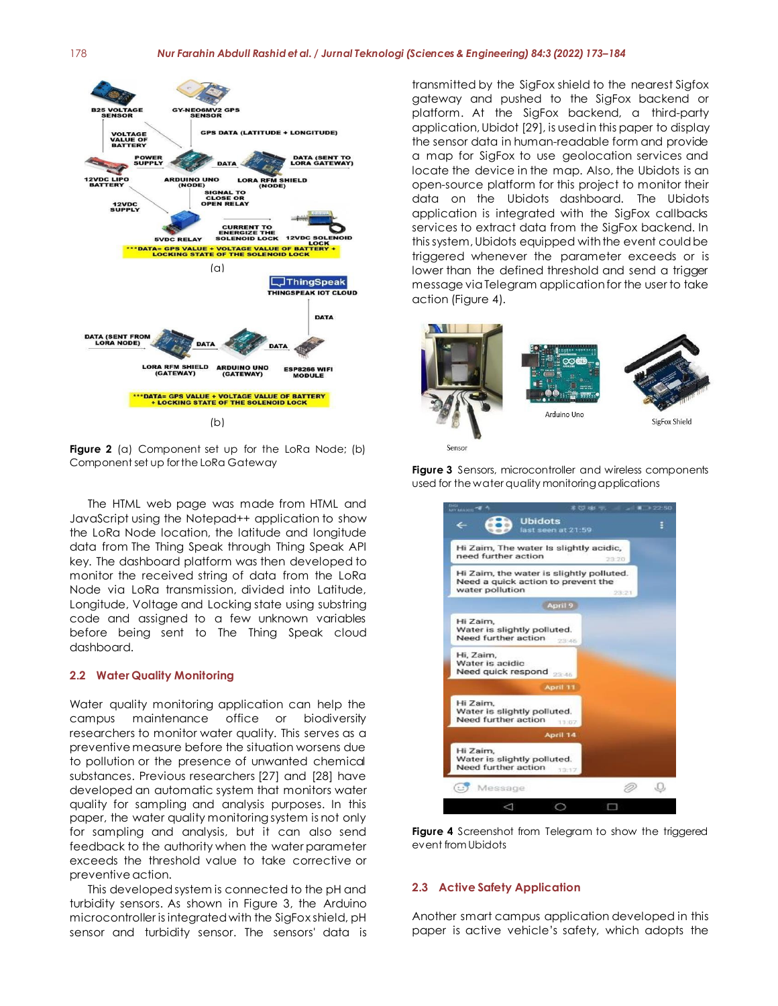#### 178 *Nur Farahin Abdull Rashid et al. / Jurnal Teknologi (Sciences & Engineering) 84:3 (2022) 173–184*



**Figure 2** (a) Component set up for the LoRa Node; (b) Component set up for the LoRa Gateway

The HTML web page was made from HTML and JavaScript using the Notepad++ application to show the LoRa Node location, the latitude and longitude data from The Thing Speak through Thing Speak API key. The dashboard platform was then developed to monitor the received string of data from the LoRa Node via LoRa transmission, divided into Latitude, Longitude, Voltage and Locking state using substring code and assigned to a few unknown variables before being sent to The Thing Speak cloud dashboard.

#### **2.2 Water Quality Monitoring**

Water quality monitoring application can help the campus maintenance office or biodiversity researchers to monitor water quality. This serves as a preventive measure before the situation worsens due to pollution or the presence of unwanted chemical substances. Previous researchers [27] and [28] have developed an automatic system that monitors water quality for sampling and analysis purposes. In this paper, the water quality monitoring system is not only for sampling and analysis, but it can also send feedback to the authority when the water parameter exceeds the threshold value to take corrective or preventive action.

This developed system is connected to the pH and turbidity sensors. As shown in Figure 3, the Arduino microcontroller is integrated with the SigFox shield, pH sensor and turbidity sensor. The sensors' data is

transmitted by the SigFox shield to the nearest Sigfox gateway and pushed to the SigFox backend or platform. At the SigFox backend, a third-party application, Ubidot [29], is used in this paper to display the sensor data in human-readable form and provide a map for SigFox to use geolocation services and locate the device in the map. Also, the Ubidots is an open-source platform for this project to monitor their data on the Ubidots dashboard. The Ubidots application is integrated with the SigFox callbacks services to extract data from the SigFox backend. In this system, Ubidots equipped with the event could be triggered whenever the parameter exceeds or is lower than the defined threshold and send a trigger message via Telegram application for the user to take action (Figure 4).





**Figure 3** Sensors, microcontroller and wireless components used for the water quality monitoring applications

**Figure 4** Screenshot from Telegram to show the triggered event from Ubidots

#### **2.3 Active Safety Application**

Another smart campus application developed in this paper is active vehicle's safety, which adopts the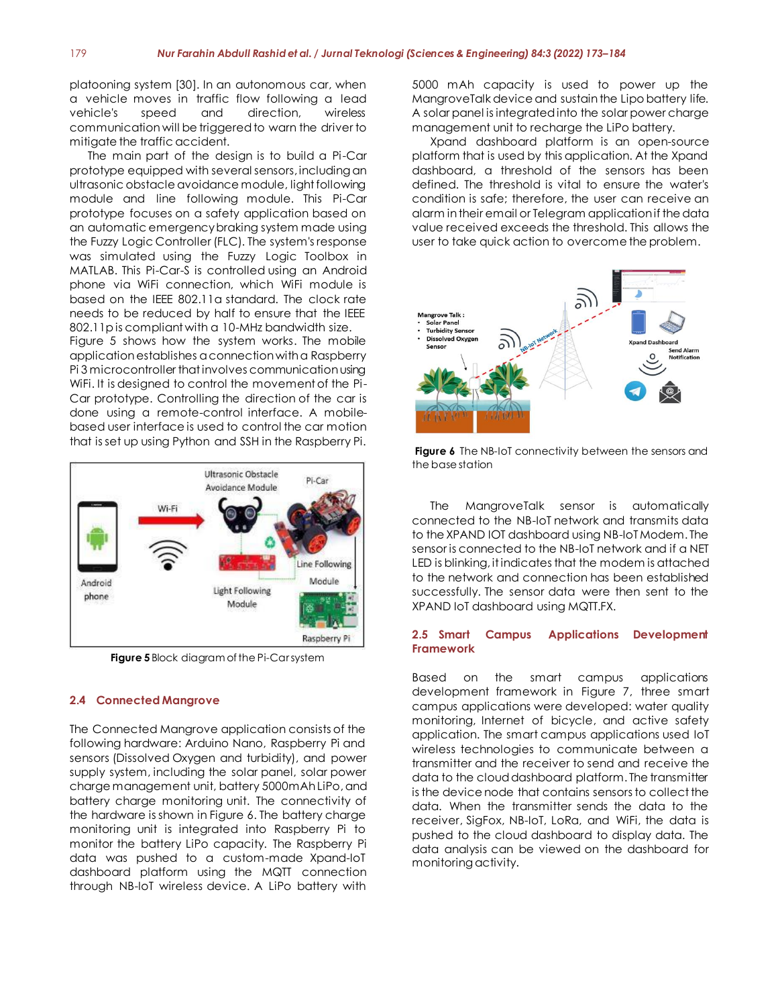platooning system [30]. In an autonomous car, when a vehicle moves in traffic flow following a lead vehicle's speed and direction, wireless communication will be triggered to warn the driver to mitigate the traffic accident.

The main part of the design is to build a Pi-Car prototype equipped with several sensors, including an ultrasonic obstacle avoidance module, light following module and line following module. This Pi-Car prototype focuses on a safety application based on an automatic emergency braking system made using the Fuzzy Logic Controller (FLC). The system's response was simulated using the Fuzzy Logic Toolbox in MATLAB. This Pi-Car-S is controlled using an Android phone via WiFi connection, which WiFi module is based on the IEEE 802.11a standard. The clock rate needs to be reduced by half to ensure that the IEEE 802.11p is compliant with a 10-MHz bandwidth size.

Figure 5 shows how the system works. The mobile application establishes a connection with a Raspberry Pi 3 microcontroller that involves communication using WiFi. It is designed to control the movement of the Pi-Car prototype. Controlling the direction of the car is done using a remote-control interface. A mobilebased user interface is used to control the car motion that is set up using Python and SSH in the Raspberry Pi.



**Figure 5** Block diagram of the Pi-Car system

#### **2.4 Connected Mangrove**

The Connected Mangrove application consists of the following hardware: Arduino Nano, Raspberry Pi and sensors (Dissolved Oxygen and turbidity), and power supply system, including the solar panel, solar power charge management unit, battery 5000mAh LiPo,and battery charge monitoring unit. The connectivity of the hardware is shown in Figure 6. The battery charge monitoring unit is integrated into Raspberry Pi to monitor the battery LiPo capacity. The Raspberry Pi data was pushed to a custom-made Xpand-IoT dashboard platform using the MQTT connection through NB-IoT wireless device. A LiPo battery with

5000 mAh capacity is used to power up the MangroveTalk device and sustain the Lipo battery life. A solar panel is integrated into the solar power charge management unit to recharge the LiPo battery.

Xpand dashboard platform is an open-source platform that is used by this application. At the Xpand dashboard, a threshold of the sensors has been defined. The threshold is vital to ensure the water's condition is safe; therefore, the user can receive an alarm in their email or Telegram application if the data value received exceeds the threshold. This allows the user to take quick action to overcome the problem.



**Figure 6** The NB-IoT connectivity between the sensors and the base station

The MangroveTalk sensor is automatically connected to the NB-IoT network and transmits data to the XPAND IOT dashboard using NB-IoT Modem. The sensor is connected to the NB-IoT network and if a NET LED is blinking, it indicates that the modem is attached to the network and connection has been established successfully. The sensor data were then sent to the XPAND IoT dashboard using MQTT.FX.

#### **2.5 Smart Campus Applications Development Framework**

Based on the smart campus applications development framework in Figure 7, three smart campus applications were developed: water quality monitoring, Internet of bicycle, and active safety application. The smart campus applications used IoT wireless technologies to communicate between a transmitter and the receiver to send and receive the data to the cloud dashboard platform. The transmitter is the device node that contains sensors to collect the data. When the transmitter sends the data to the receiver, SigFox, NB-IoT, LoRa, and WiFi, the data is pushed to the cloud dashboard to display data. The data analysis can be viewed on the dashboard for monitoring activity.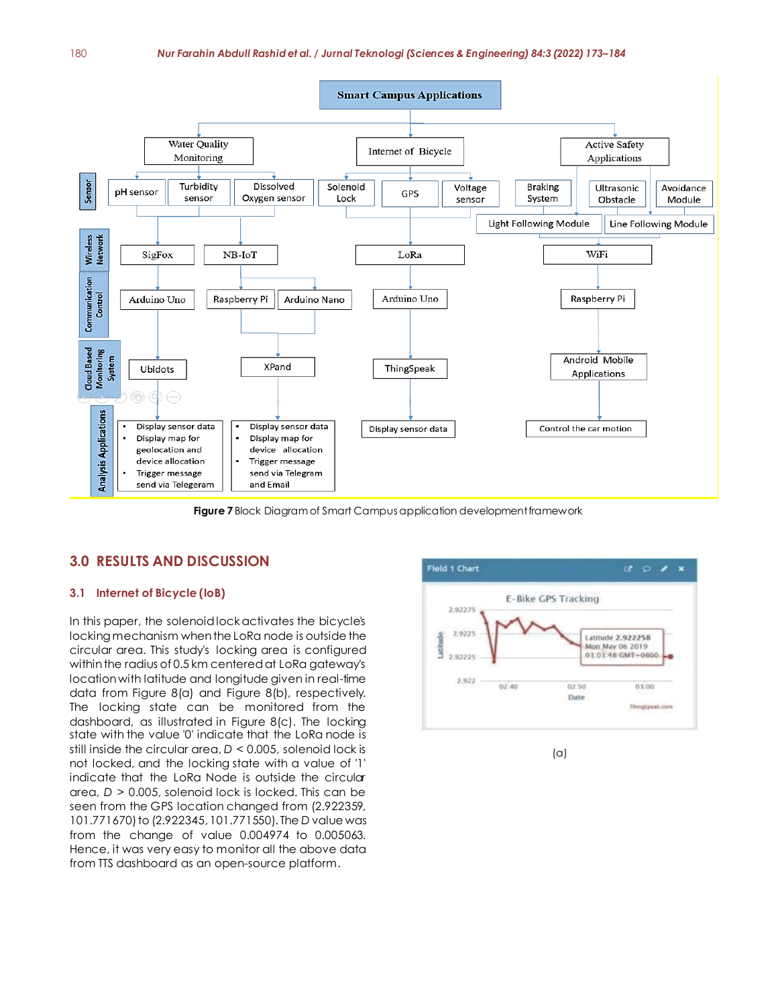

**Figure 7** Block Diagram of Smart Campus application development framework

#### **3.0 RESULTS AND DISCUSSION**

#### **3.1 Internet of Bicycle (IoB)**

In this paper, the solenoid lock activates the bicycle's locking mechanism when the LoRa node is outside the circular area. This study's locking area is configured within the radius of 0.5 km centered at LoRa gateway's location with latitude and longitude given in real-time data from Figure 8(a) and Figure 8(b), respectively. The locking state can be monitored from the dashboard, as illustrated in Figure 8(c). The locking state with the value '0' indicate that the LoRa node is still inside the circular area, *D* < 0.005, solenoid lock is not locked, and the locking state with a value of '1' indicate that the LoRa Node is outside the circular area, *D* > 0.005, solenoid lock is locked. This can be seen from the GPS location changed from (2.922359, 101.771670) to (2.922345, 101.771550). The *D* value was from the change of value 0.004974 to 0.005063. Hence, it was very easy to monitor all the above data from TTS dashboard as an open-source platform.



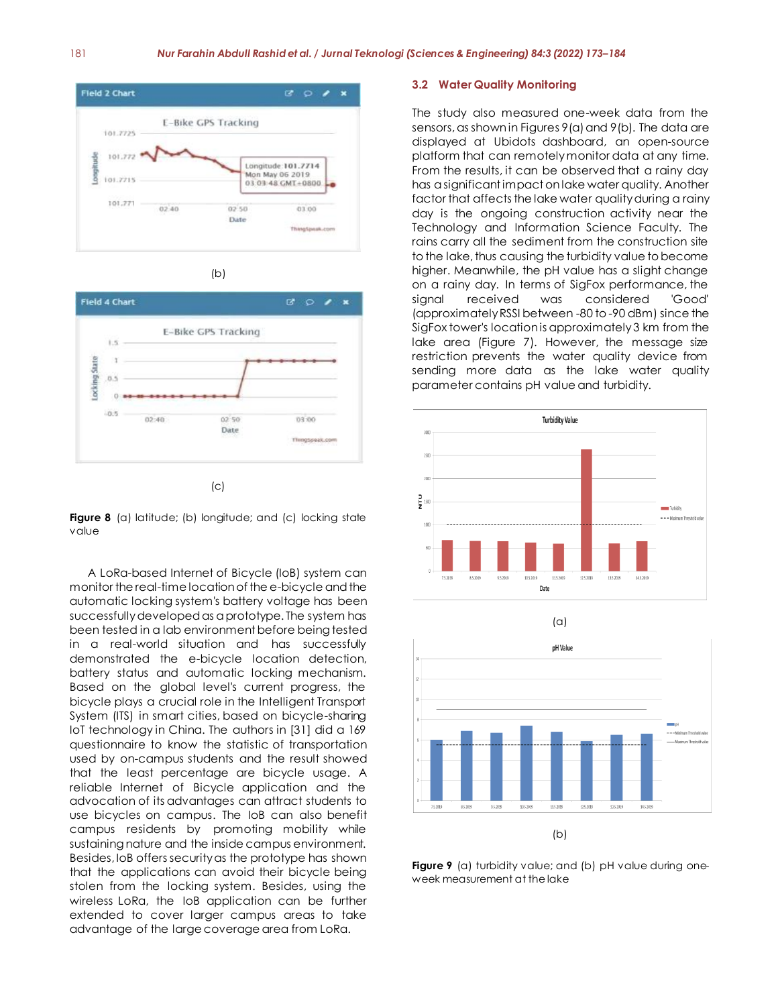





 $(c)$ 



A LoRa-based Internet of Bicycle (IoB) system can monitor the real-time location of the e-bicycle and the automatic locking system's battery voltage has been successfully developed as a prototype. The system has been tested in a lab environment before being tested in a real-world situation and has successfully demonstrated the e-bicycle location detection, battery status and automatic locking mechanism. Based on the global level's current progress, the bicycle plays a crucial role in the Intelligent Transport System (ITS) in smart cities, based on bicycle-sharing IoT technology in China. The authors in [31] did a 169 questionnaire to know the statistic of transportation used by on-campus students and the result showed that the least percentage are bicycle usage. A reliable Internet of Bicycle application and the advocation of its advantages can attract students to use bicycles on campus. The IoB can also benefit campus residents by promoting mobility while sustaining nature and the inside campus environment. Besides, IoB offers security as the prototype has shown that the applications can avoid their bicycle being stolen from the locking system. Besides, using the wireless LoRa, the IoB application can be further extended to cover larger campus areas to take advantage of the large coverage area from LoRa.

#### **3.2 Water Quality Monitoring**

The study also measured one-week data from the sensors, as shown in Figures 9(a) and 9(b). The data are displayed at Ubidots dashboard, an open-source platform that can remotely monitor data at any time. From the results, it can be observed that a rainy day has a significant impact on lake water quality. Another factor that affects the lake water quality during a rainy day is the ongoing construction activity near the Technology and Information Science Faculty. The rains carry all the sediment from the construction site to the lake, thus causing the turbidity value to become higher. Meanwhile, the pH value has a slight change on a rainy day. In terms of SigFox performance, the signal received was considered 'Good' (approximately RSSI between -80 to -90 dBm) since the SigFox tower's location is approximately 3 km from the lake area (Figure 7). However, the message size restriction prevents the water quality device from sending more data as the lake water quality parameter contains pH value and turbidity.





**Figure 9** (a) turbidity value; and (b) pH value during oneweek measurement at the lake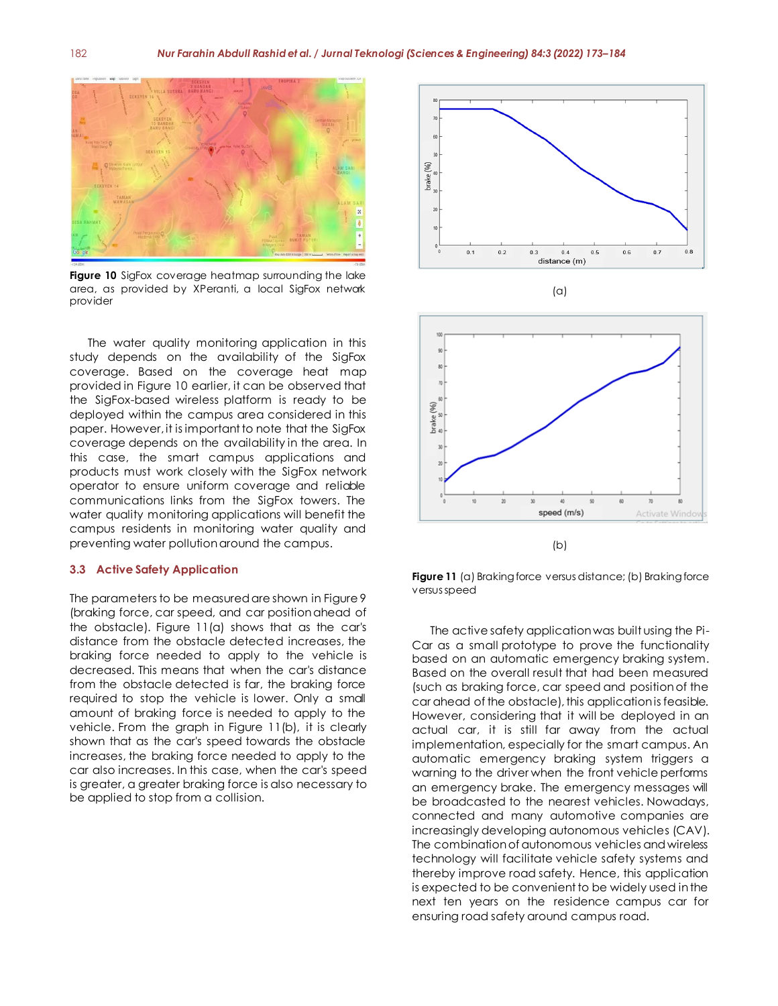

**Figure 10** SigFox coverage heatmap surrounding the lake area, as provided by XPeranti, a local SigFox network provider

The water quality monitoring application in this study depends on the availability of the SigFox coverage. Based on the coverage heat map provided in Figure 10 earlier, it can be observed that the SigFox-based wireless platform is ready to be deployed within the campus area considered in this paper. However, it is important to note that the SigFox coverage depends on the availability in the area. In this case, the smart campus applications and products must work closely with the SigFox network operator to ensure uniform coverage and reliable communications links from the SigFox towers. The water quality monitoring applications will benefit the campus residents in monitoring water quality and preventing water pollution around the campus.

#### **3.3 Active Safety Application**

The parameters to be measured are shown in Figure 9 (braking force, car speed, and car position ahead of the obstacle). Figure 11(a) shows that as the car's distance from the obstacle detected increases, the braking force needed to apply to the vehicle is decreased. This means that when the car's distance from the obstacle detected is far, the braking force required to stop the vehicle is lower. Only a small amount of braking force is needed to apply to the vehicle. From the graph in Figure 11(b), it is clearly shown that as the car's speed towards the obstacle increases, the braking force needed to apply to the car also increases. In this case, when the car's speed is greater, a greater braking force is also necessary to be applied to stop from a collision.







**Figure 11** (a) Braking force versus distance; (b) Braking force versus speed

The active safety application was built using the Pi-Car as a small prototype to prove the functionality based on an automatic emergency braking system. Based on the overall result that had been measured (such as braking force, car speed and position of the car ahead of the obstacle), this application is feasible. However, considering that it will be deployed in an actual car, it is still far away from the actual implementation, especially for the smart campus. An automatic emergency braking system triggers a warning to the driver when the front vehicle performs an emergency brake. The emergency messages will be broadcasted to the nearest vehicles. Nowadays, connected and many automotive companies are increasingly developing autonomous vehicles (CAV). The combination of autonomous vehicles and wireless technology will facilitate vehicle safety systems and thereby improve road safety. Hence, this application is expected to be convenient to be widely used in the next ten years on the residence campus car for ensuring road safety around campus road.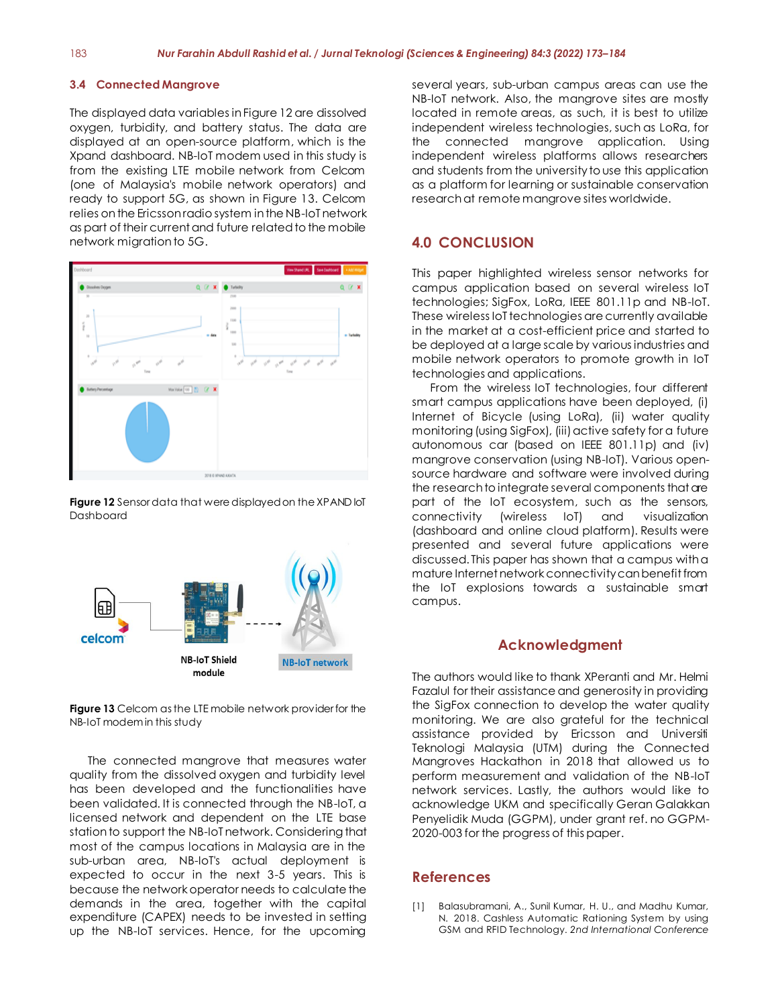#### **3.4 Connected Mangrove**

The displayed data variables in Figure 12 are dissolved oxygen, turbidity, and battery status. The data are displayed at an open-source platform, which is the Xpand dashboard. NB-IoT modem used in this study is from the existing LTE mobile network from Celcom (one of Malaysia's mobile network operators) and ready to support 5G, as shown in Figure 13. Celcom relies on the Ericsson radio system in the NB-IoT network as part of their current and future related to the mobile network migration to 5G.



**Figure 12** Sensor data that were displayedon the XPAND IoT Dashboard



**Figure 13** Celcom as the LTE mobile network provider for the NB-IoT modem in this study

The connected mangrove that measures water quality from the dissolved oxygen and turbidity level has been developed and the functionalities have been validated. It is connected through the NB-IoT, a licensed network and dependent on the LTE base station to support the NB-IoT network. Considering that most of the campus locations in Malaysia are in the sub-urban area, NB-IoT's actual deployment is expected to occur in the next 3-5 years. This is because the network operator needs to calculate the demands in the area, together with the capital expenditure (CAPEX) needs to be invested in setting up the NB-IoT services. Hence, for the upcoming

several years, sub-urban campus areas can use the NB-IoT network. Also, the mangrove sites are mostly located in remote areas, as such, it is best to utilize independent wireless technologies, such as LoRa, for the connected mangrove application. Using independent wireless platforms allows researchers and students from the university to use this application as a platform for learning or sustainable conservation research at remote mangrove sites worldwide.

#### **4.0 CONCLUSION**

This paper highlighted wireless sensor networks for campus application based on several wireless IoT technologies; SigFox, LoRa, IEEE 801.11p and NB-IoT. These wireless IoT technologies are currently available in the market at a cost-efficient price and started to be deployed at a large scale by various industries and mobile network operators to promote growth in IoT technologies and applications.

From the wireless IoT technologies, four different smart campus applications have been deployed, (i) Internet of Bicycle (using LoRa), (ii) water quality monitoring (using SigFox), (iii) active safety for a future autonomous car (based on IEEE 801.11p) and (iv) mangrove conservation (using NB-IoT). Various opensource hardware and software were involved during the research to integrate several components that are part of the IoT ecosystem, such as the sensors, connectivity (wireless IoT) and visualization (dashboard and online cloud platform). Results were presented and several future applications were discussed. This paper has shown that a campus with a mature Internet network connectivity can benefit from the IoT explosions towards a sustainable smart campus.

#### **Acknowledgment**

The authors would like to thank XPeranti and Mr. Helmi Fazalul for their assistance and generosity in providing the SigFox connection to develop the water quality monitoring. We are also grateful for the technical assistance provided by Ericsson and Universiti Teknologi Malaysia (UTM) during the Connected Mangroves Hackathon in 2018 that allowed us to perform measurement and validation of the NB-IoT network services. Lastly, the authors would like to acknowledge UKM and specifically Geran Galakkan Penyelidik Muda (GGPM), under grant ref. no GGPM-2020-003 for the progress of this paper.

#### **References**

[1] Balasubramani, A., Sunil Kumar, H. U., and Madhu Kumar, N. 2018. Cashless Automatic Rationing System by using GSM and RFID Technology. *2nd International Conference*